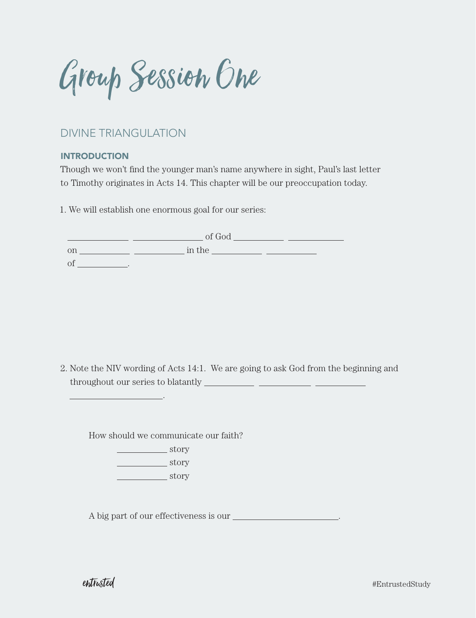Group Session One

# DIVINE TRIANGULATION

## **INTRODUCTION**

Though we won't find the younger man's name anywhere in sight, Paul's last letter to Timothy originates in Acts 14. This chapter will be our preoccupation today.

1. We will establish one enormous goal for our series:

|    | of God |  |
|----|--------|--|
| on | in the |  |
|    |        |  |

2. Note the NIV wording of Acts 14:1. We are going to ask God from the beginning and throughout our series to blatantly

How should we communicate our faith?

 story **story** story

A big part of our effectiveness is our  $\overline{\phantom{a}}$ .

.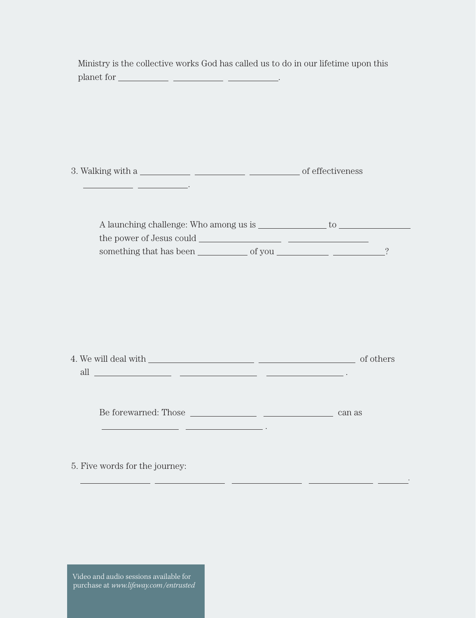| Ministry is the collective works God has called us to do in our lifetime upon this                     |        |  |
|--------------------------------------------------------------------------------------------------------|--------|--|
|                                                                                                        |        |  |
|                                                                                                        |        |  |
|                                                                                                        |        |  |
|                                                                                                        |        |  |
|                                                                                                        |        |  |
|                                                                                                        |        |  |
|                                                                                                        |        |  |
|                                                                                                        |        |  |
|                                                                                                        |        |  |
|                                                                                                        |        |  |
|                                                                                                        |        |  |
|                                                                                                        |        |  |
|                                                                                                        |        |  |
|                                                                                                        |        |  |
| all $\overline{\phantom{a}}$ . The contract of $\overline{\phantom{a}}$ and $\overline{\phantom{a}}$ . |        |  |
|                                                                                                        |        |  |
|                                                                                                        |        |  |
| Be forewarned: Those                                                                                   | can as |  |
|                                                                                                        |        |  |
|                                                                                                        |        |  |
| 5. Five words for the journey:                                                                         |        |  |
|                                                                                                        |        |  |

Video and audio sessions available for purchase at *www.lifeway.com/entrusted*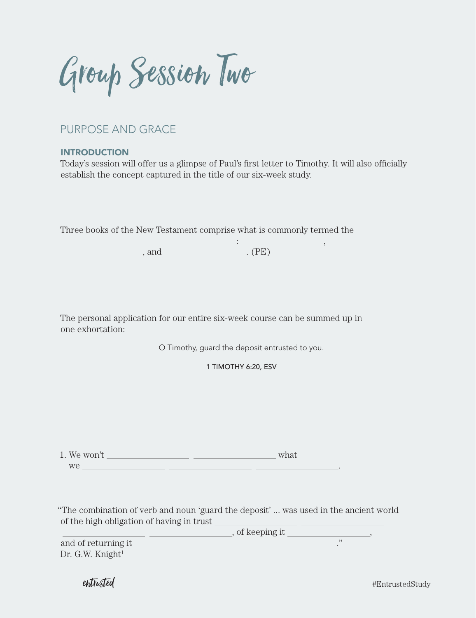Group Session Two

# PURPOSE AND GRACE

## **INTRODUCTION**

Today's session will offer us a glimpse of Paul's first letter to Timothy. It will also officially establish the concept captured in the title of our six-week study.

Three books of the New Testament comprise what is commonly termed the

 : ,  $\qquad \qquad \text{and} \qquad \qquad \text{. (PE)}$ 

The personal application for our entire six-week course can be summed up in one exhortation:

O Timothy, guard the deposit entrusted to you.

1 TIMOTHY 6:20, ESV

1. We won't what we <u>examed a series of the series of the series of the series of the series of the series of the series of the series of the series of the series of the series of the series of the series of the series of the series of the</u>

"The combination of verb and noun 'guard the deposit' ... was used in the ancient world of the high obligation of having in trust

 $\frac{1}{\sin x}$  , of keeping it  $\frac{1}{\sin x}$ ,  $\frac{1}{\sin x}$  ,  $\frac{1}{\sin x}$  ,  $\frac{1}{\sin x}$  ,  $\frac{1}{\sin x}$  ,  $\frac{1}{\sin x}$  ,  $\frac{1}{\sin x}$  ,  $\frac{1}{\sin x}$  ,  $\frac{1}{\sin x}$  ,  $\frac{1}{\sin x}$  ,  $\frac{1}{\sin x}$  ,  $\frac{1}{\sin x}$  ,  $\frac{1}{\sin x}$  ,  $\frac{1}{\sin x}$  and of returning it ."  $Dr. G.W.$  Knight<sup>1</sup>

entrusted #EntrustedStudy #EntrustedStudy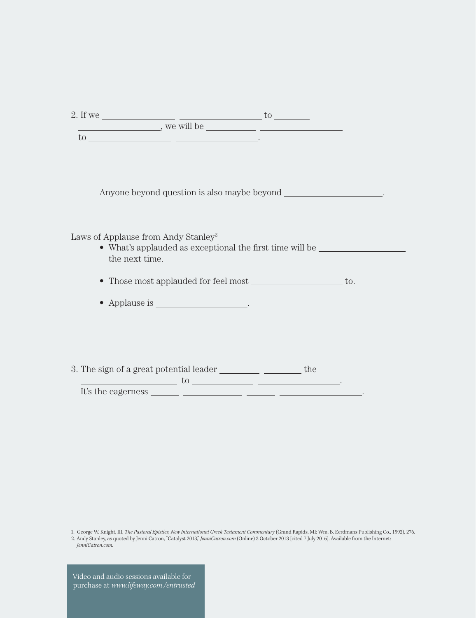| 2. If we |              | UU |
|----------|--------------|----|
|          | , we will be |    |
| UU.      |              |    |

Anyone beyond question is also maybe beyond \_\_\_\_\_\_\_\_\_\_\_\_\_\_\_\_\_\_\_\_\_\_\_.

Laws of Applause from Andy Stanley<sup>2</sup>

• What's applauded as exceptional the first time will be the next time.

• Those most applauded for feel most \_\_\_\_\_\_\_\_\_\_\_\_\_\_\_\_\_\_\_\_ to.

• Applause is \_\_\_\_\_\_\_\_\_\_\_\_\_\_\_\_\_\_\_\_\_.

3. The sign of a great potential leader \_\_\_\_\_\_\_\_\_\_\_\_\_\_\_\_\_\_\_\_\_\_\_\_ the

 $\frac{1}{100}$  to  $\frac{1}{100}$  . The set of  $\frac{1}{100}$  is  $\frac{1}{100}$  . The set of  $\frac{1}{100}$  is  $\frac{1}{100}$  is  $\frac{1}{100}$  is  $\frac{1}{100}$  is  $\frac{1}{100}$  is  $\frac{1}{100}$  is  $\frac{1}{100}$  is  $\frac{1}{100}$  is  $\frac{1}{100}$  is  $\frac{1}{$ It's the eagerness .

1. George W. Knight, III, *The Pastoral Epistles, New International Greek Testament Commentary* (Grand Rapids, MI: Wm. B. Eerdmans Publishing Co., 1992), 276.

2. Andy Stanley, as quoted by Jenni Catron, "Catalyst 2013," *JenniCatron.com* (Online) 3 October 2013 [cited 7 July 2016]. Available from the Internet: *JenniCatron.com*.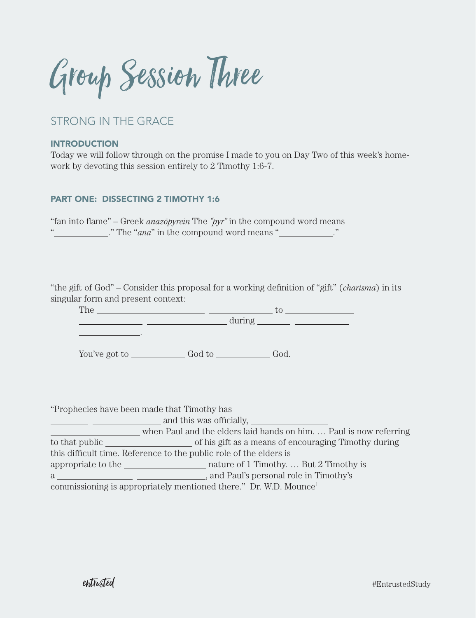Group Session Three

# STRONG IN THE GRACE

.

### INTRODUCTION

Today we will follow through on the promise I made to you on Day Two of this week's homework by devoting this session entirely to 2 Timothy 1:6-7.

## PART ONE: DISSECTING 2 TIMOTHY 1:6

"fan into flame" – Greek *anazopyrein* The "pyr" in the compound word means " ." The "*ana*" in the compound word means " ."

"the gift of God" – Consider this proposal for a working definition of "gift" (*charisma*) in its singular form and present context:

The  $\qquad$  to to the set of the set of the set of the set of the set of the set of the set of the set of the set of the set of the set of the set of the set of the set of the set of the set of the set of the set of the set during

You've got to  $\_\_$  God to  $\_\_$  God.

"Prophecies have been made that Timothy has

and this was officially,

when Paul and the elders laid hands on him. ... Paul is now referring to that public set of his gift as a means of encouraging Timothy during this difficult time. Reference to the public role of the elders is appropriate to the nature of 1 Timothy. … But 2 Timothy is a , and Paul's personal role in Timothy's commissioning is appropriately mentioned there." Dr. W.D. Mounce1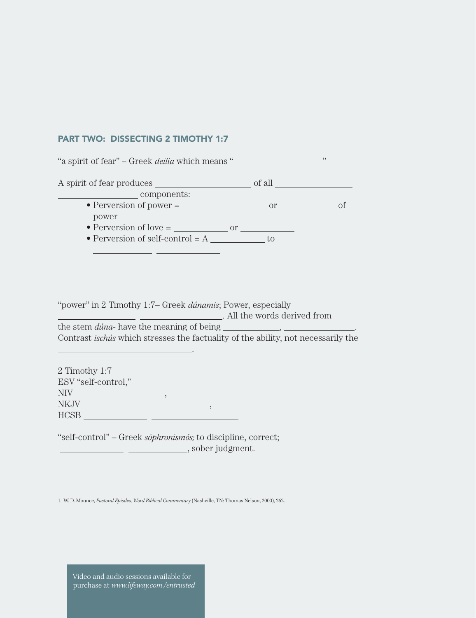### PART TWO: DISSECTING 2 TIMOTHY 1:7

"a spirit of fear" – Greek *deilia* which means " " A spirit of fear produces of all services of all services of all services of all  $\sim$ components: • Perversion of power =  $\frac{1}{1-\frac{1}{1-\frac{1}{1-\frac{1}{1-\frac{1}{1-\frac{1}{1-\frac{1}{1-\frac{1}{1-\frac{1}{1-\frac{1}{1-\frac{1}{1-\frac{1}{1-\frac{1}{1-\frac{1}{1-\frac{1}{1-\frac{1}{1-\frac{1}{1-\frac{1}{1-\frac{1}{1-\frac{1}{1-\frac{1}{1-\frac{1}{1-\frac{1}{1-\frac{1}{1-\frac{1}{1-\frac{1}{1-\frac{1}{1-\frac{1}{1-\frac{1}{1-\frac{1}{1-\frac{1}{1-\frac{1}{1-\frac{1$ power • Perversion of love = or • Perversion of self-control  $= A$  to 

"power" in 2 Timothy 1:7– Greek *dúnamis*; Power, especially . All the words derived from the stem *dúna*- have the meaning of being , . Contrast *ischús* which stresses the factuality of the ability, not necessarily the

2 Timothy 1:7 ESV "self-control,"  $NIV$   $\qquad \qquad$ ,  $NKNV$  , which is a set of  $\overline{N}$  ,  $\overline{N}$  ,  $\overline{N}$  ,  $\overline{N}$  ,  $\overline{N}$  ,  $\overline{N}$  ,  $\overline{N}$  ,  $\overline{N}$  ,  $\overline{N}$  ,  $\overline{N}$  ,  $\overline{N}$  ,  $\overline{N}$  ,  $\overline{N}$  ,  $\overline{N}$  ,  $\overline{N}$  ,  $\overline{N}$  ,  $\overline{N}$  ,  $\overline{N}$ HCSB

.

"self-control" – Greek *sōphronismós*; to discipline, correct; **Fig. 2. Solid Election Contract Contract Contract Contract Contract Contract Contract Contract Contract Contract Contract Contract Contract Contract Contract Contract Contract Contract Contract Contract Contract Contract** 

1. W. D. Mounce, *Pastoral Epistles, Word Biblical Commentary* (Nashville, TN: Thomas Nelson, 2000), 262.

Video and audio sessions available for purchase at *www.lifeway.com/entrusted*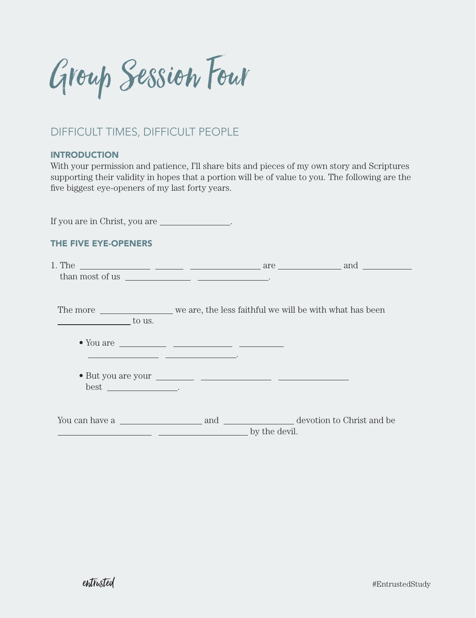Group Session Four

# DIFFICULT TIMES, DIFFICULT PEOPLE

### **INTRODUCTION**

With your permission and patience, I'll share bits and pieces of my own story and Scriptures supporting their validity in hopes that a portion will be of value to you. The following are the five biggest eye-openers of my last forty years.

If you are in Christ, you are .

## THE FIVE EYE-OPENERS

| The more ________________________ we are, the less faithful we will be with what has been<br>$\frac{1}{2}$ to us. |               |  |
|-------------------------------------------------------------------------------------------------------------------|---------------|--|
|                                                                                                                   |               |  |
| $best$ __________________.                                                                                        |               |  |
| __________                                                                                                        | by the devil. |  |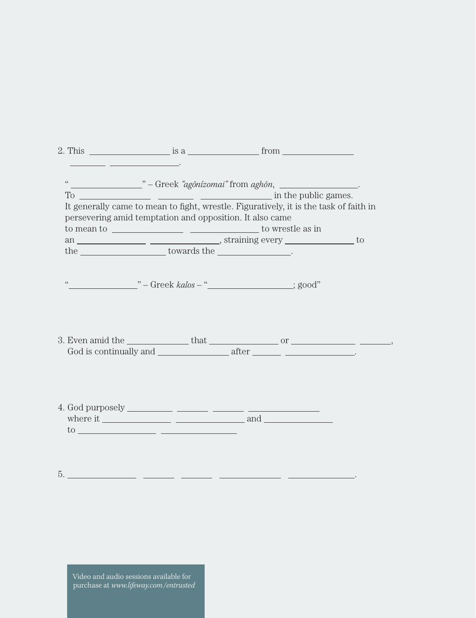|          | 2. This $\frac{1}{2}$ is a $\frac{1}{2}$ from $\frac{1}{2}$                                                                                                                                                                                                                                                                                                                                                                    |  |
|----------|--------------------------------------------------------------------------------------------------------------------------------------------------------------------------------------------------------------------------------------------------------------------------------------------------------------------------------------------------------------------------------------------------------------------------------|--|
|          | <u> 1989 - John Stein, Amerikan besteht in der staat von der Stein von der Stein von der Stein von der Stein von</u>                                                                                                                                                                                                                                                                                                           |  |
| $\omega$ |                                                                                                                                                                                                                                                                                                                                                                                                                                |  |
|          | To $\frac{1}{\sqrt{1-\frac{1}{\sqrt{1-\frac{1}{\sqrt{1-\frac{1}{\sqrt{1-\frac{1}{\sqrt{1-\frac{1}{\sqrt{1-\frac{1}{\sqrt{1-\frac{1}{\sqrt{1-\frac{1}{\sqrt{1-\frac{1}{\sqrt{1-\frac{1}{\sqrt{1-\frac{1}{\sqrt{1-\frac{1}{\sqrt{1-\frac{1}{\sqrt{1-\frac{1}{\sqrt{1-\frac{1}{\sqrt{1-\frac{1}{\sqrt{1-\frac{1}{\sqrt{1-\frac{1}{\sqrt{1-\frac{1}{\sqrt{1-\frac{1}{\sqrt{1-\frac{1}{\sqrt{1-\frac{1}{\sqrt{1-\frac{1}{\sqrt{1-\$ |  |
|          | It generally came to mean to fight, wrestle. Figuratively, it is the task of faith in                                                                                                                                                                                                                                                                                                                                          |  |
|          | persevering amid temptation and opposition. It also came                                                                                                                                                                                                                                                                                                                                                                       |  |
|          |                                                                                                                                                                                                                                                                                                                                                                                                                                |  |
|          |                                                                                                                                                                                                                                                                                                                                                                                                                                |  |
|          | the _________________________towards the _____________________.                                                                                                                                                                                                                                                                                                                                                                |  |
|          |                                                                                                                                                                                                                                                                                                                                                                                                                                |  |
|          |                                                                                                                                                                                                                                                                                                                                                                                                                                |  |
|          | " ——————————————————————————————; good"                                                                                                                                                                                                                                                                                                                                                                                        |  |
|          |                                                                                                                                                                                                                                                                                                                                                                                                                                |  |
|          |                                                                                                                                                                                                                                                                                                                                                                                                                                |  |
|          |                                                                                                                                                                                                                                                                                                                                                                                                                                |  |
|          |                                                                                                                                                                                                                                                                                                                                                                                                                                |  |
|          |                                                                                                                                                                                                                                                                                                                                                                                                                                |  |
|          |                                                                                                                                                                                                                                                                                                                                                                                                                                |  |
|          |                                                                                                                                                                                                                                                                                                                                                                                                                                |  |
|          |                                                                                                                                                                                                                                                                                                                                                                                                                                |  |
|          |                                                                                                                                                                                                                                                                                                                                                                                                                                |  |
|          |                                                                                                                                                                                                                                                                                                                                                                                                                                |  |
|          |                                                                                                                                                                                                                                                                                                                                                                                                                                |  |
|          |                                                                                                                                                                                                                                                                                                                                                                                                                                |  |
|          | $\frac{1}{2}$ to $\frac{1}{2}$ and $\frac{1}{2}$ and $\frac{1}{2}$ and $\frac{1}{2}$ and $\frac{1}{2}$ and $\frac{1}{2}$ and $\frac{1}{2}$ and $\frac{1}{2}$ and $\frac{1}{2}$ and $\frac{1}{2}$ and $\frac{1}{2}$ and $\frac{1}{2}$ and $\frac{1}{2}$ and $\frac{1}{2}$ and $\frac{1}{2}$ an                                                                                                                                  |  |
|          |                                                                                                                                                                                                                                                                                                                                                                                                                                |  |
|          |                                                                                                                                                                                                                                                                                                                                                                                                                                |  |
|          |                                                                                                                                                                                                                                                                                                                                                                                                                                |  |
| 5.       |                                                                                                                                                                                                                                                                                                                                                                                                                                |  |

Video and audio sessions available for  $\Box$  purchase at *www.lifeway.com/entrusted*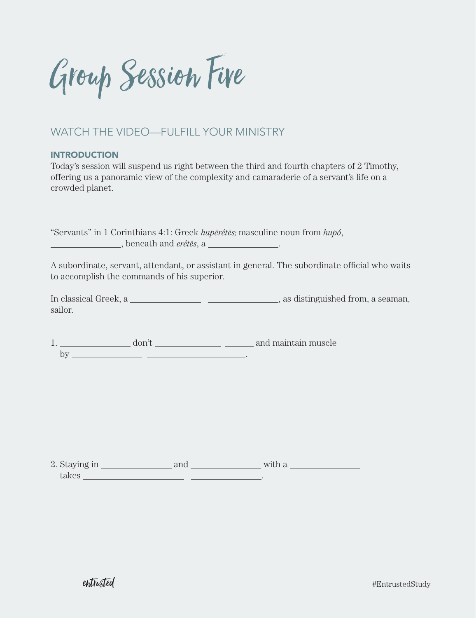Group Session Five

# WATCH THE VIDEO—FULFILL YOUR MINISTRY

### **INTRODUCTION**

Today's session will suspend us right between the third and fourth chapters of 2 Timothy, offering us a panoramic view of the complexity and camaraderie of a servant's life on a crowded planet.

"Servants" in 1 Corinthians 4:1: Greek *hupērétēs;* masculine noun from  $hup\phi$ , , beneath and *eréte¯s*, a .

A subordinate, servant, attendant, or assistant in general. The subordinate official who waits to accomplish the commands of his superior.

In classical Greek, a  $\frac{1}{\sqrt{2\pi}}$  , as distinguished from, a seaman, sailor.

1. don't and maintain muscle by .

2. Staying in and with a takes .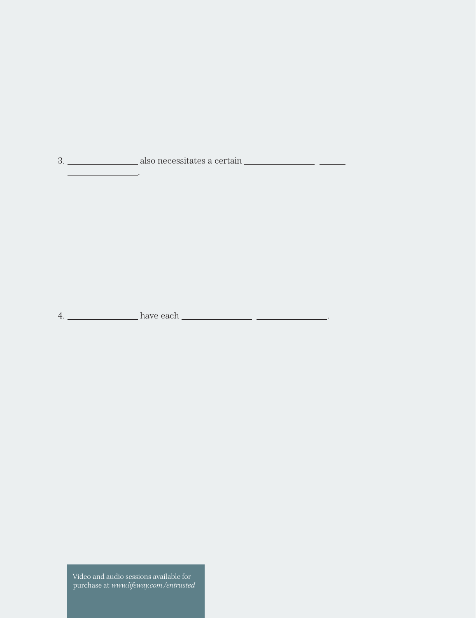3. also necessitates a certain

4. have each .

.

Video and audio sessions available for  $\Box$  purchase at *www.lifeway.com/entrusted*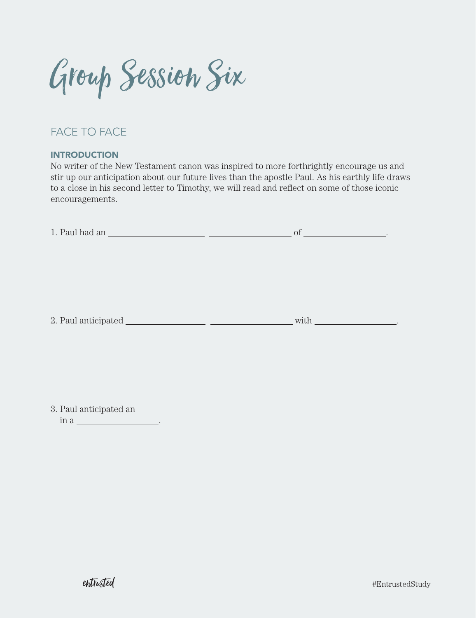Group Session Six

# FACE TO FACE

### **INTRODUCTION**

No writer of the New Testament canon was inspired to more forthrightly encourage us and stir up our anticipation about our future lives than the apostle Paul. As his earthly life draws to a close in his second letter to Timothy, we will read and reflect on some of those iconic encouragements.

| with $\qquad$ |
|---------------|
|               |
|               |

in a .